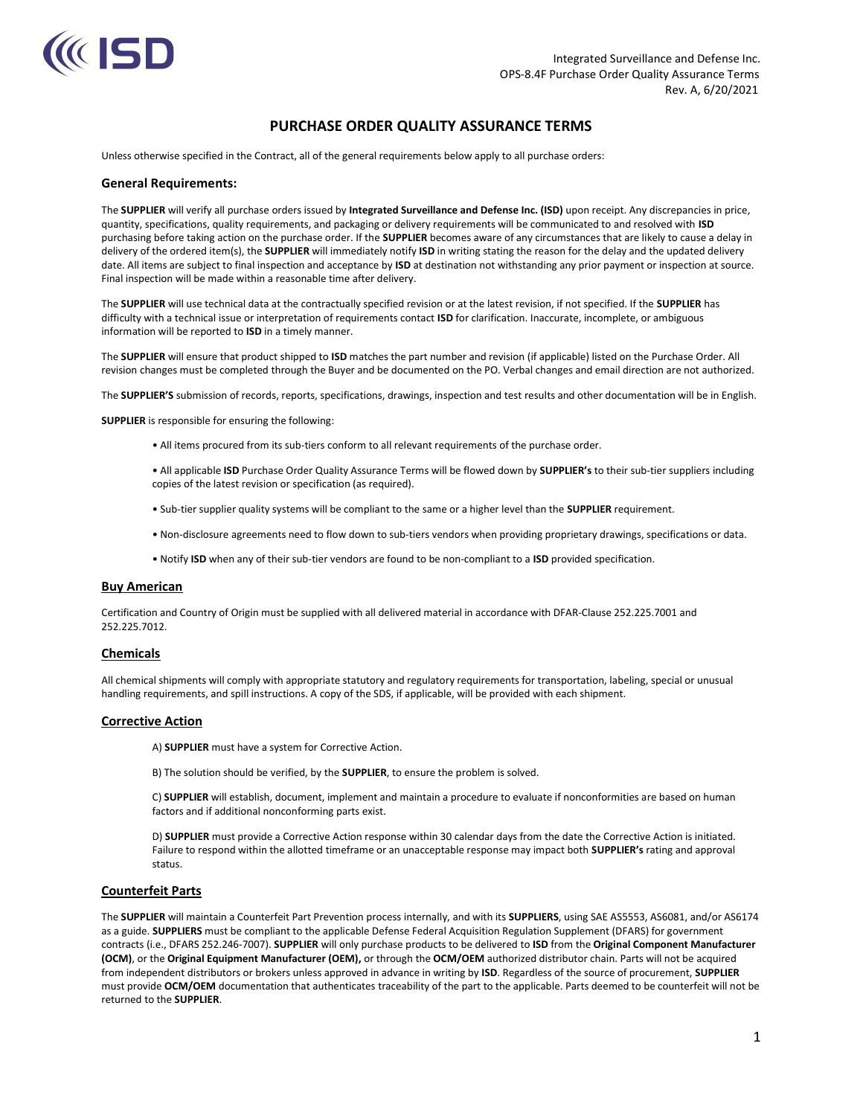

# PURCHASE ORDER QUALITY ASSURANCE TERMS

Unless otherwise specified in the Contract, all of the general requirements below apply to all purchase orders:

#### General Requirements:

The SUPPLIER will verify all purchase orders issued by Integrated Surveillance and Defense Inc. (ISD) upon receipt. Any discrepancies in price, quantity, specifications, quality requirements, and packaging or delivery requirements will be communicated to and resolved with ISD purchasing before taking action on the purchase order. If the SUPPLIER becomes aware of any circumstances that are likely to cause a delay in delivery of the ordered item(s), the SUPPLIER will immediately notify ISD in writing stating the reason for the delay and the updated delivery date. All items are subject to final inspection and acceptance by ISD at destination not withstanding any prior payment or inspection at source. Final inspection will be made within a reasonable time after delivery.

The SUPPLIER will use technical data at the contractually specified revision or at the latest revision, if not specified. If the SUPPLIER has difficulty with a technical issue or interpretation of requirements contact ISD for clarification. Inaccurate, incomplete, or ambiguous information will be reported to ISD in a timely manner.

The SUPPLIER will ensure that product shipped to ISD matches the part number and revision (if applicable) listed on the Purchase Order. All revision changes must be completed through the Buyer and be documented on the PO. Verbal changes and email direction are not authorized.

The SUPPLIER'S submission of records, reports, specifications, drawings, inspection and test results and other documentation will be in English.

SUPPLIER is responsible for ensuring the following:

- All items procured from its sub-tiers conform to all relevant requirements of the purchase order.
- All applicable ISD Purchase Order Quality Assurance Terms will be flowed down by SUPPLIER's to their sub-tier suppliers including copies of the latest revision or specification (as required).
- Sub-tier supplier quality systems will be compliant to the same or a higher level than the SUPPLIER requirement.
- Non-disclosure agreements need to flow down to sub-tiers vendors when providing proprietary drawings, specifications or data.
- Notify ISD when any of their sub-tier vendors are found to be non-compliant to a ISD provided specification.

#### Buy American

Certification and Country of Origin must be supplied with all delivered material in accordance with DFAR-Clause 252.225.7001 and 252.225.7012.

#### Chemicals

All chemical shipments will comply with appropriate statutory and regulatory requirements for transportation, labeling, special or unusual handling requirements, and spill instructions. A copy of the SDS, if applicable, will be provided with each shipment.

#### Corrective Action

- A) SUPPLIER must have a system for Corrective Action.
- B) The solution should be verified, by the SUPPLIER, to ensure the problem is solved.

C) SUPPLIER will establish, document, implement and maintain a procedure to evaluate if nonconformities are based on human factors and if additional nonconforming parts exist.

D) SUPPLIER must provide a Corrective Action response within 30 calendar days from the date the Corrective Action is initiated. Failure to respond within the allotted timeframe or an unacceptable response may impact both SUPPLIER's rating and approval status.

#### Counterfeit Parts

The SUPPLIER will maintain a Counterfeit Part Prevention process internally, and with its SUPPLIERS, using SAE AS5553, AS6081, and/or AS6174 as a guide. SUPPLIERS must be compliant to the applicable Defense Federal Acquisition Regulation Supplement (DFARS) for government contracts (i.e., DFARS 252.246-7007). SUPPLIER will only purchase products to be delivered to ISD from the Original Component Manufacturer (OCM), or the Original Equipment Manufacturer (OEM), or through the OCM/OEM authorized distributor chain. Parts will not be acquired from independent distributors or brokers unless approved in advance in writing by ISD. Regardless of the source of procurement, SUPPLIER must provide OCM/OEM documentation that authenticates traceability of the part to the applicable. Parts deemed to be counterfeit will not be returned to the SUPPLIER.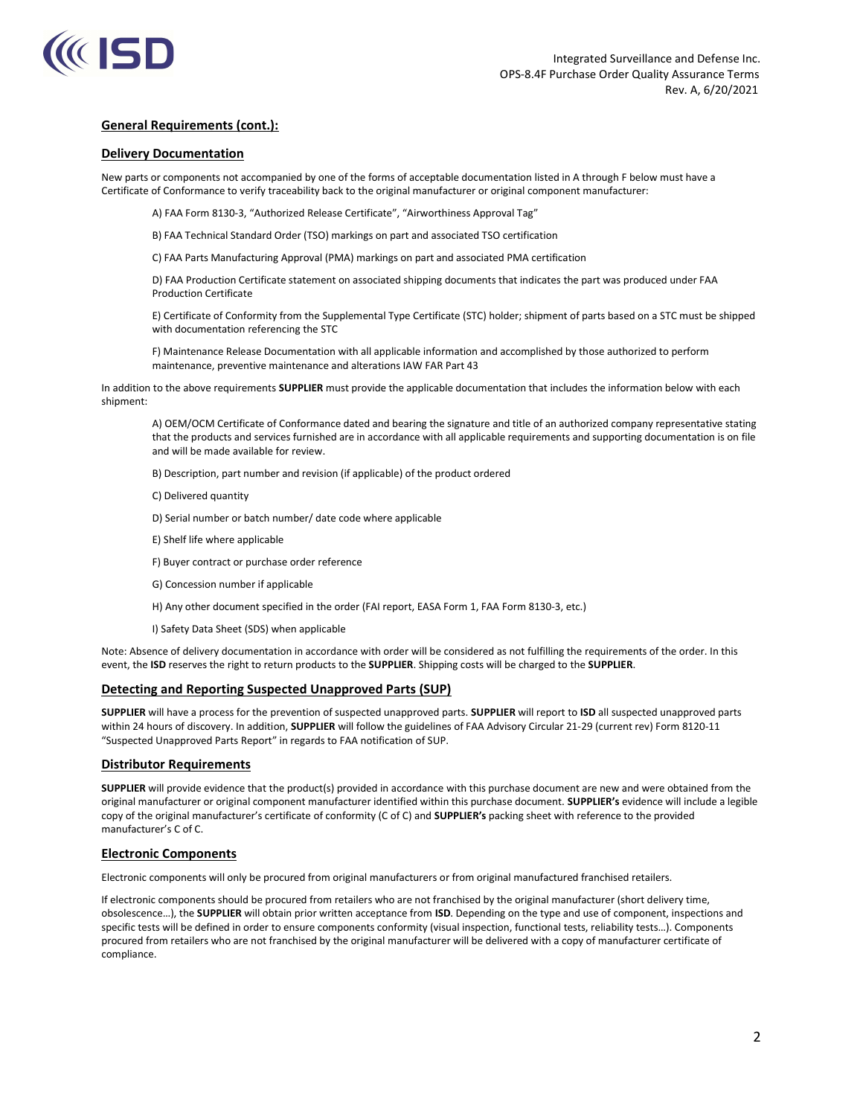

### Delivery Documentation

New parts or components not accompanied by one of the forms of acceptable documentation listed in A through F below must have a Certificate of Conformance to verify traceability back to the original manufacturer or original component manufacturer:

A) FAA Form 8130-3, "Authorized Release Certificate", "Airworthiness Approval Tag"

B) FAA Technical Standard Order (TSO) markings on part and associated TSO certification

C) FAA Parts Manufacturing Approval (PMA) markings on part and associated PMA certification

D) FAA Production Certificate statement on associated shipping documents that indicates the part was produced under FAA Production Certificate

E) Certificate of Conformity from the Supplemental Type Certificate (STC) holder; shipment of parts based on a STC must be shipped with documentation referencing the STC

F) Maintenance Release Documentation with all applicable information and accomplished by those authorized to perform maintenance, preventive maintenance and alterations IAW FAR Part 43

In addition to the above requirements SUPPLIER must provide the applicable documentation that includes the information below with each shipment:

A) OEM/OCM Certificate of Conformance dated and bearing the signature and title of an authorized company representative stating that the products and services furnished are in accordance with all applicable requirements and supporting documentation is on file and will be made available for review.

B) Description, part number and revision (if applicable) of the product ordered

C) Delivered quantity

D) Serial number or batch number/ date code where applicable

- E) Shelf life where applicable
- F) Buyer contract or purchase order reference
- G) Concession number if applicable
- H) Any other document specified in the order (FAI report, EASA Form 1, FAA Form 8130-3, etc.)
- I) Safety Data Sheet (SDS) when applicable

Note: Absence of delivery documentation in accordance with order will be considered as not fulfilling the requirements of the order. In this event, the ISD reserves the right to return products to the SUPPLIER. Shipping costs will be charged to the SUPPLIER.

### Detecting and Reporting Suspected Unapproved Parts (SUP)

SUPPLIER will have a process for the prevention of suspected unapproved parts. SUPPLIER will report to ISD all suspected unapproved parts within 24 hours of discovery. In addition, SUPPLIER will follow the guidelines of FAA Advisory Circular 21-29 (current rev) Form 8120-11 "Suspected Unapproved Parts Report" in regards to FAA notification of SUP.

### Distributor Requirements

SUPPLIER will provide evidence that the product(s) provided in accordance with this purchase document are new and were obtained from the original manufacturer or original component manufacturer identified within this purchase document. SUPPLIER's evidence will include a legible copy of the original manufacturer's certificate of conformity (C of C) and SUPPLIER's packing sheet with reference to the provided manufacturer's C of C.

# Electronic Components

Electronic components will only be procured from original manufacturers or from original manufactured franchised retailers.

If electronic components should be procured from retailers who are not franchised by the original manufacturer (short delivery time, obsolescence…), the SUPPLIER will obtain prior written acceptance from ISD. Depending on the type and use of component, inspections and specific tests will be defined in order to ensure components conformity (visual inspection, functional tests, reliability tests…). Components procured from retailers who are not franchised by the original manufacturer will be delivered with a copy of manufacturer certificate of compliance.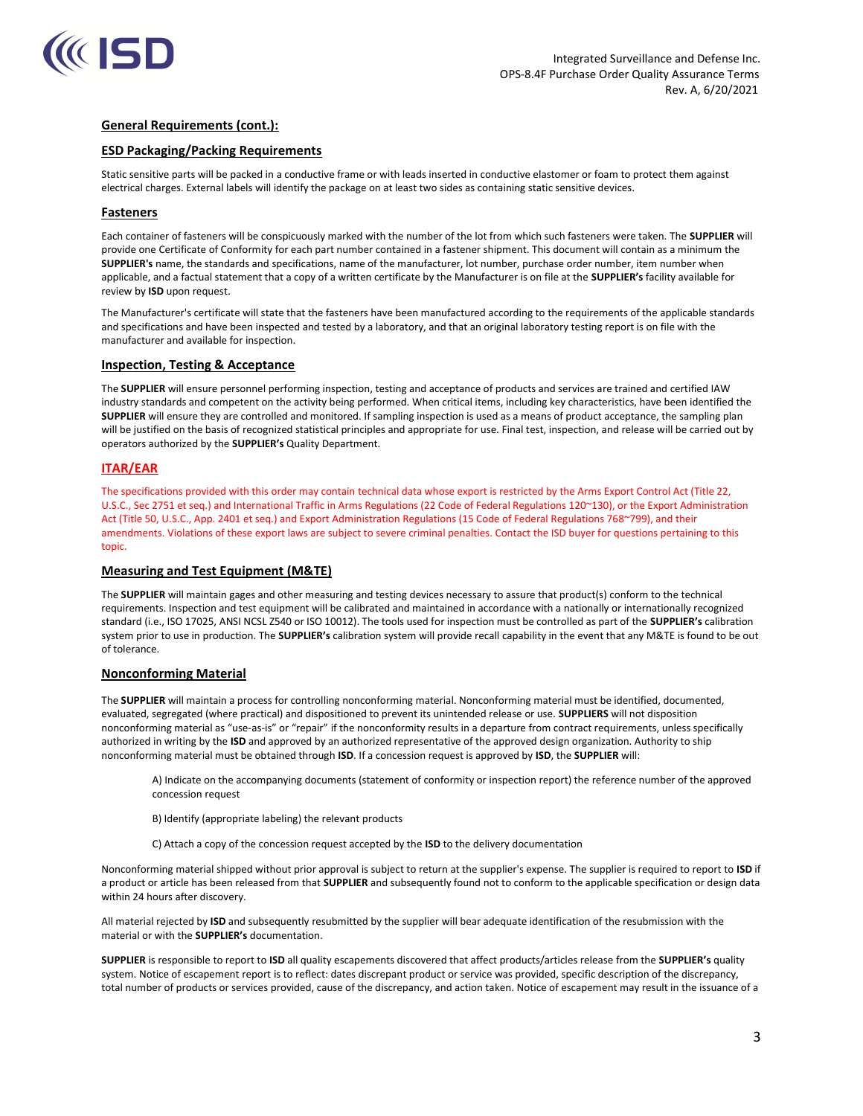

# ESD Packaging/Packing Requirements

Static sensitive parts will be packed in a conductive frame or with leads inserted in conductive elastomer or foam to protect them against electrical charges. External labels will identify the package on at least two sides as containing static sensitive devices.

### Fasteners

Each container of fasteners will be conspicuously marked with the number of the lot from which such fasteners were taken. The SUPPLIER will provide one Certificate of Conformity for each part number contained in a fastener shipment. This document will contain as a minimum the SUPPLIER's name, the standards and specifications, name of the manufacturer, lot number, purchase order number, item number when applicable, and a factual statement that a copy of a written certificate by the Manufacturer is on file at the SUPPLIER's facility available for review by **ISD** upon request.

The Manufacturer's certificate will state that the fasteners have been manufactured according to the requirements of the applicable standards and specifications and have been inspected and tested by a laboratory, and that an original laboratory testing report is on file with the manufacturer and available for inspection.

### Inspection, Testing & Acceptance

The SUPPLIER will ensure personnel performing inspection, testing and acceptance of products and services are trained and certified IAW industry standards and competent on the activity being performed. When critical items, including key characteristics, have been identified the SUPPLIER will ensure they are controlled and monitored. If sampling inspection is used as a means of product acceptance, the sampling plan will be justified on the basis of recognized statistical principles and appropriate for use. Final test, inspection, and release will be carried out by operators authorized by the SUPPLIER's Quality Department.

### ITAR/EAR

The specifications provided with this order may contain technical data whose export is restricted by the Arms Export Control Act (Title 22, U.S.C., Sec 2751 et seq.) and International Traffic in Arms Regulations (22 Code of Federal Regulations 120~130), or the Export Administration Act (Title 50, U.S.C., App. 2401 et seq.) and Export Administration Regulations (15 Code of Federal Regulations 768~799), and their amendments. Violations of these export laws are subject to severe criminal penalties. Contact the ISD buyer for questions pertaining to this topic.

### Measuring and Test Equipment (M&TE)

The SUPPLIER will maintain gages and other measuring and testing devices necessary to assure that product(s) conform to the technical requirements. Inspection and test equipment will be calibrated and maintained in accordance with a nationally or internationally recognized standard (i.e., ISO 17025, ANSI NCSL Z540 or ISO 10012). The tools used for inspection must be controlled as part of the SUPPLIER's calibration system prior to use in production. The SUPPLIER's calibration system will provide recall capability in the event that any M&TE is found to be out of tolerance.

### Nonconforming Material

The SUPPLIER will maintain a process for controlling nonconforming material. Nonconforming material must be identified, documented, evaluated, segregated (where practical) and dispositioned to prevent its unintended release or use. SUPPLIERS will not disposition nonconforming material as "use-as-is" or "repair" if the nonconformity results in a departure from contract requirements, unless specifically authorized in writing by the ISD and approved by an authorized representative of the approved design organization. Authority to ship nonconforming material must be obtained through ISD. If a concession request is approved by ISD, the SUPPLIER will:

A) Indicate on the accompanying documents (statement of conformity or inspection report) the reference number of the approved concession request

- B) Identify (appropriate labeling) the relevant products
- C) Attach a copy of the concession request accepted by the ISD to the delivery documentation

Nonconforming material shipped without prior approval is subject to return at the supplier's expense. The supplier is required to report to ISD if a product or article has been released from that SUPPLIER and subsequently found not to conform to the applicable specification or design data within 24 hours after discovery.

All material rejected by ISD and subsequently resubmitted by the supplier will bear adequate identification of the resubmission with the material or with the SUPPLIER's documentation.

SUPPLIER is responsible to report to ISD all quality escapements discovered that affect products/articles release from the SUPPLIER's quality system. Notice of escapement report is to reflect: dates discrepant product or service was provided, specific description of the discrepancy, total number of products or services provided, cause of the discrepancy, and action taken. Notice of escapement may result in the issuance of a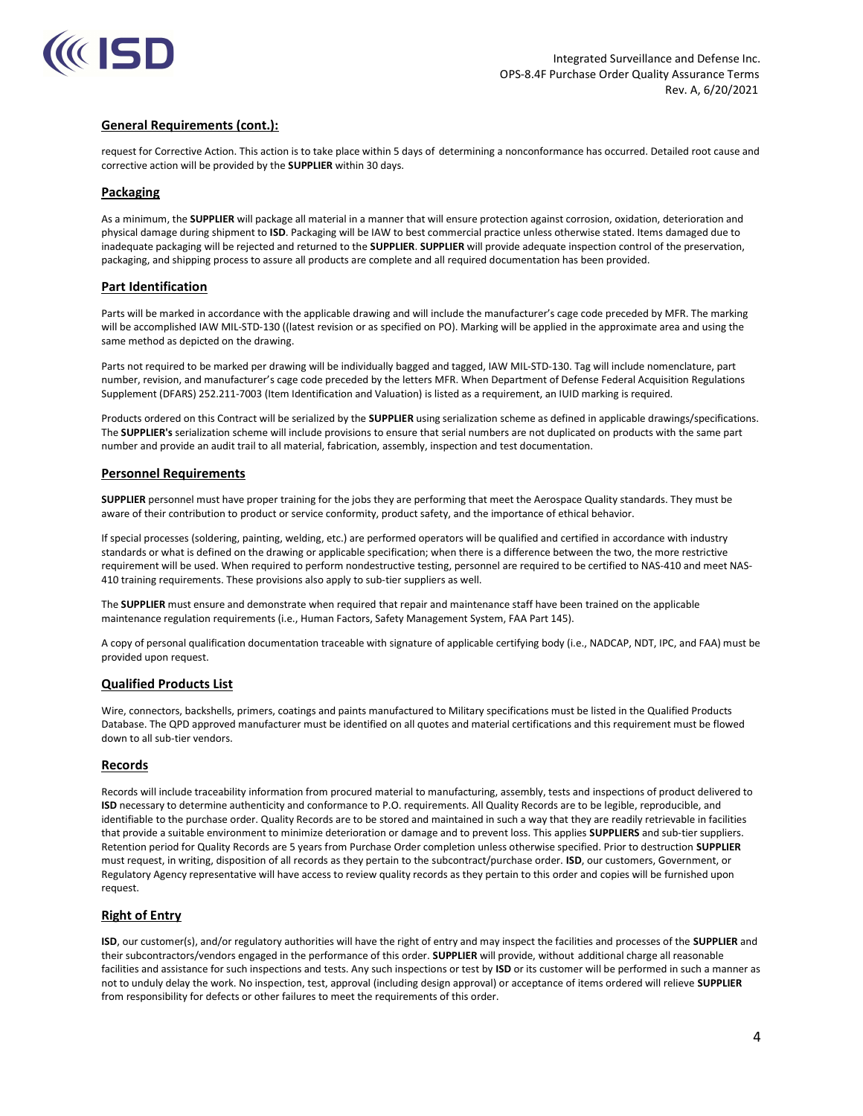

request for Corrective Action. This action is to take place within 5 days of determining a nonconformance has occurred. Detailed root cause and corrective action will be provided by the SUPPLIER within 30 days.

### Packaging

As a minimum, the SUPPLIER will package all material in a manner that will ensure protection against corrosion, oxidation, deterioration and physical damage during shipment to ISD. Packaging will be IAW to best commercial practice unless otherwise stated. Items damaged due to inadequate packaging will be rejected and returned to the SUPPLIER. SUPPLIER will provide adequate inspection control of the preservation, packaging, and shipping process to assure all products are complete and all required documentation has been provided.

# Part Identification

Parts will be marked in accordance with the applicable drawing and will include the manufacturer's cage code preceded by MFR. The marking will be accomplished IAW MIL-STD-130 ((latest revision or as specified on PO). Marking will be applied in the approximate area and using the same method as depicted on the drawing.

Parts not required to be marked per drawing will be individually bagged and tagged, IAW MIL-STD-130. Tag will include nomenclature, part number, revision, and manufacturer's cage code preceded by the letters MFR. When Department of Defense Federal Acquisition Regulations Supplement (DFARS) 252.211-7003 (Item Identification and Valuation) is listed as a requirement, an IUID marking is required.

Products ordered on this Contract will be serialized by the SUPPLIER using serialization scheme as defined in applicable drawings/specifications. The SUPPLIER's serialization scheme will include provisions to ensure that serial numbers are not duplicated on products with the same part number and provide an audit trail to all material, fabrication, assembly, inspection and test documentation.

### Personnel Requirements

SUPPLIER personnel must have proper training for the jobs they are performing that meet the Aerospace Quality standards. They must be aware of their contribution to product or service conformity, product safety, and the importance of ethical behavior.

If special processes (soldering, painting, welding, etc.) are performed operators will be qualified and certified in accordance with industry standards or what is defined on the drawing or applicable specification; when there is a difference between the two, the more restrictive requirement will be used. When required to perform nondestructive testing, personnel are required to be certified to NAS-410 and meet NAS-410 training requirements. These provisions also apply to sub-tier suppliers as well.

The SUPPLIER must ensure and demonstrate when required that repair and maintenance staff have been trained on the applicable maintenance regulation requirements (i.e., Human Factors, Safety Management System, FAA Part 145).

A copy of personal qualification documentation traceable with signature of applicable certifying body (i.e., NADCAP, NDT, IPC, and FAA) must be provided upon request.

# Qualified Products List

Wire, connectors, backshells, primers, coatings and paints manufactured to Military specifications must be listed in the Qualified Products Database. The QPD approved manufacturer must be identified on all quotes and material certifications and this requirement must be flowed down to all sub-tier vendors.

### Records

Records will include traceability information from procured material to manufacturing, assembly, tests and inspections of product delivered to ISD necessary to determine authenticity and conformance to P.O. requirements. All Quality Records are to be legible, reproducible, and identifiable to the purchase order. Quality Records are to be stored and maintained in such a way that they are readily retrievable in facilities that provide a suitable environment to minimize deterioration or damage and to prevent loss. This applies SUPPLIERS and sub-tier suppliers. Retention period for Quality Records are 5 years from Purchase Order completion unless otherwise specified. Prior to destruction SUPPLIER must request, in writing, disposition of all records as they pertain to the subcontract/purchase order. ISD, our customers, Government, or Regulatory Agency representative will have access to review quality records as they pertain to this order and copies will be furnished upon request.

# Right of Entry

ISD, our customer(s), and/or regulatory authorities will have the right of entry and may inspect the facilities and processes of the SUPPLIER and their subcontractors/vendors engaged in the performance of this order. SUPPLIER will provide, without additional charge all reasonable facilities and assistance for such inspections and tests. Any such inspections or test by ISD or its customer will be performed in such a manner as not to unduly delay the work. No inspection, test, approval (including design approval) or acceptance of items ordered will relieve SUPPLIER from responsibility for defects or other failures to meet the requirements of this order.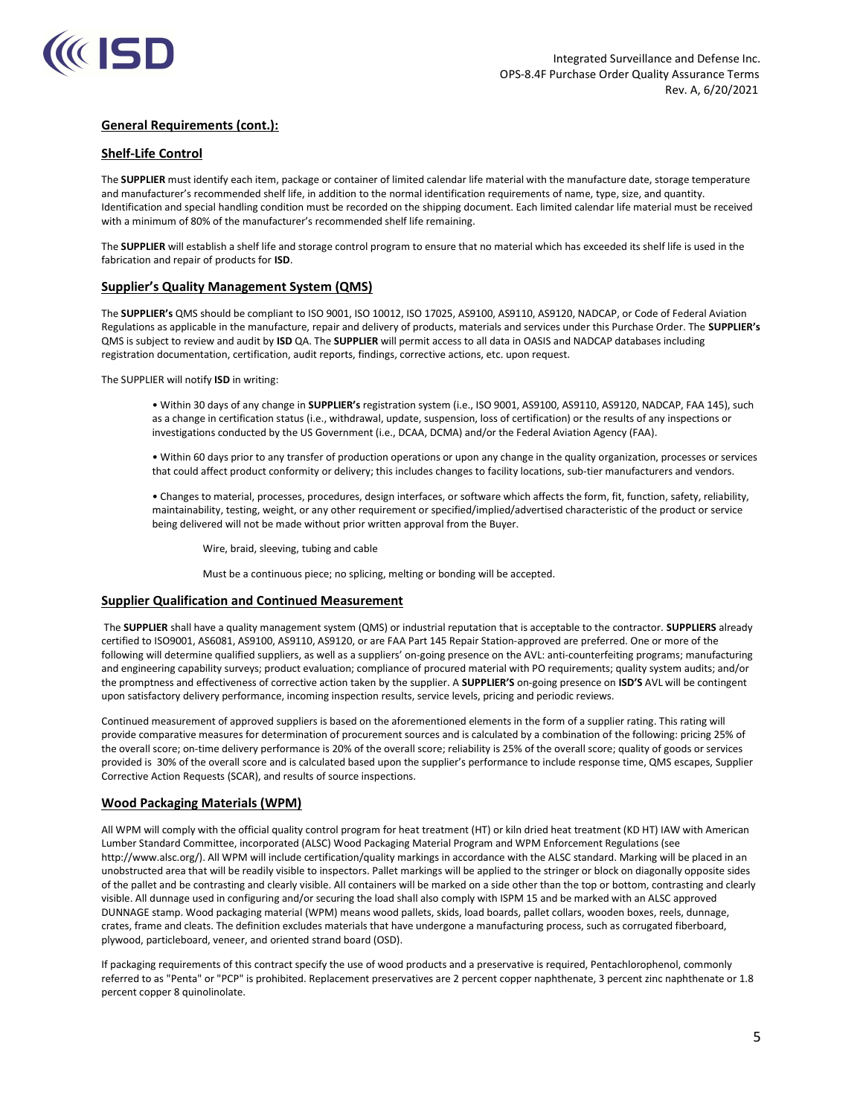

## Shelf-Life Control

The SUPPLIER must identify each item, package or container of limited calendar life material with the manufacture date, storage temperature and manufacturer's recommended shelf life, in addition to the normal identification requirements of name, type, size, and quantity. Identification and special handling condition must be recorded on the shipping document. Each limited calendar life material must be received with a minimum of 80% of the manufacturer's recommended shelf life remaining.

The SUPPLIER will establish a shelf life and storage control program to ensure that no material which has exceeded its shelf life is used in the fabrication and repair of products for ISD.

# Supplier's Quality Management System (QMS)

The SUPPLIER's QMS should be compliant to ISO 9001, ISO 10012, ISO 17025, AS9100, AS9110, AS9120, NADCAP, or Code of Federal Aviation Regulations as applicable in the manufacture, repair and delivery of products, materials and services under this Purchase Order. The SUPPLIER's QMS is subject to review and audit by ISD QA. The SUPPLIER will permit access to all data in OASIS and NADCAP databases including registration documentation, certification, audit reports, findings, corrective actions, etc. upon request.

The SUPPLIER will notify ISD in writing:

• Within 30 days of any change in SUPPLIER's registration system (i.e., ISO 9001, AS9100, AS9110, AS9120, NADCAP, FAA 145), such as a change in certification status (i.e., withdrawal, update, suspension, loss of certification) or the results of any inspections or investigations conducted by the US Government (i.e., DCAA, DCMA) and/or the Federal Aviation Agency (FAA).

• Within 60 days prior to any transfer of production operations or upon any change in the quality organization, processes or services that could affect product conformity or delivery; this includes changes to facility locations, sub-tier manufacturers and vendors.

• Changes to material, processes, procedures, design interfaces, or software which affects the form, fit, function, safety, reliability, maintainability, testing, weight, or any other requirement or specified/implied/advertised characteristic of the product or service being delivered will not be made without prior written approval from the Buyer.

Wire, braid, sleeving, tubing and cable

Must be a continuous piece; no splicing, melting or bonding will be accepted.

### Supplier Qualification and Continued Measurement

The SUPPLIER shall have a quality management system (QMS) or industrial reputation that is acceptable to the contractor. SUPPLIERS already certified to ISO9001, AS6081, AS9100, AS9110, AS9120, or are FAA Part 145 Repair Station-approved are preferred. One or more of the following will determine qualified suppliers, as well as a suppliers' on-going presence on the AVL: anti-counterfeiting programs; manufacturing and engineering capability surveys; product evaluation; compliance of procured material with PO requirements; quality system audits; and/or the promptness and effectiveness of corrective action taken by the supplier. A SUPPLIER'S on-going presence on ISD'S AVL will be contingent upon satisfactory delivery performance, incoming inspection results, service levels, pricing and periodic reviews.

Continued measurement of approved suppliers is based on the aforementioned elements in the form of a supplier rating. This rating will provide comparative measures for determination of procurement sources and is calculated by a combination of the following: pricing 25% of the overall score; on-time delivery performance is 20% of the overall score; reliability is 25% of the overall score; quality of goods or services provided is 30% of the overall score and is calculated based upon the supplier's performance to include response time, QMS escapes, Supplier Corrective Action Requests (SCAR), and results of source inspections.

### Wood Packaging Materials (WPM)

All WPM will comply with the official quality control program for heat treatment (HT) or kiln dried heat treatment (KD HT) IAW with American Lumber Standard Committee, incorporated (ALSC) Wood Packaging Material Program and WPM Enforcement Regulations (see http://www.alsc.org/). All WPM will include certification/quality markings in accordance with the ALSC standard. Marking will be placed in an unobstructed area that will be readily visible to inspectors. Pallet markings will be applied to the stringer or block on diagonally opposite sides of the pallet and be contrasting and clearly visible. All containers will be marked on a side other than the top or bottom, contrasting and clearly visible. All dunnage used in configuring and/or securing the load shall also comply with ISPM 15 and be marked with an ALSC approved DUNNAGE stamp. Wood packaging material (WPM) means wood pallets, skids, load boards, pallet collars, wooden boxes, reels, dunnage, crates, frame and cleats. The definition excludes materials that have undergone a manufacturing process, such as corrugated fiberboard, plywood, particleboard, veneer, and oriented strand board (OSD).

If packaging requirements of this contract specify the use of wood products and a preservative is required, Pentachlorophenol, commonly referred to as "Penta" or "PCP" is prohibited. Replacement preservatives are 2 percent copper naphthenate, 3 percent zinc naphthenate or 1.8 percent copper 8 quinolinolate.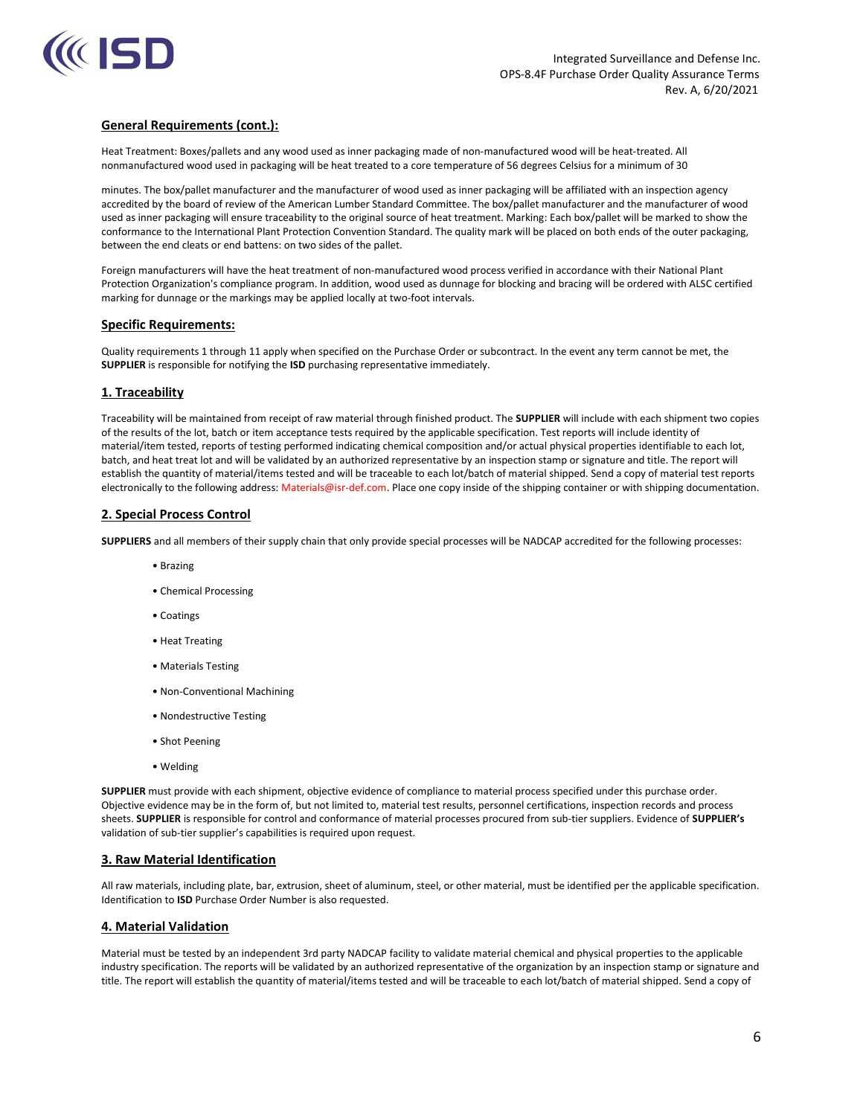

Heat Treatment: Boxes/pallets and any wood used as inner packaging made of non-manufactured wood will be heat-treated. All nonmanufactured wood used in packaging will be heat treated to a core temperature of 56 degrees Celsius for a minimum of 30

minutes. The box/pallet manufacturer and the manufacturer of wood used as inner packaging will be affiliated with an inspection agency accredited by the board of review of the American Lumber Standard Committee. The box/pallet manufacturer and the manufacturer of wood used as inner packaging will ensure traceability to the original source of heat treatment. Marking: Each box/pallet will be marked to show the conformance to the International Plant Protection Convention Standard. The quality mark will be placed on both ends of the outer packaging, between the end cleats or end battens: on two sides of the pallet.

Foreign manufacturers will have the heat treatment of non-manufactured wood process verified in accordance with their National Plant Protection Organization's compliance program. In addition, wood used as dunnage for blocking and bracing will be ordered with ALSC certified marking for dunnage or the markings may be applied locally at two-foot intervals.

### Specific Requirements:

Quality requirements 1 through 11 apply when specified on the Purchase Order or subcontract. In the event any term cannot be met, the SUPPLIER is responsible for notifying the ISD purchasing representative immediately.

# 1. Traceability

Traceability will be maintained from receipt of raw material through finished product. The SUPPLIER will include with each shipment two copies of the results of the lot, batch or item acceptance tests required by the applicable specification. Test reports will include identity of material/item tested, reports of testing performed indicating chemical composition and/or actual physical properties identifiable to each lot, batch, and heat treat lot and will be validated by an authorized representative by an inspection stamp or signature and title. The report will establish the quantity of material/items tested and will be traceable to each lot/batch of material shipped. Send a copy of material test reports electronically to the following address: Materials@isr-def.com. Place one copy inside of the shipping container or with shipping documentation.

# 2. Special Process Control

SUPPLIERS and all members of their supply chain that only provide special processes will be NADCAP accredited for the following processes:

- Brazing
- Chemical Processing
- Coatings
- Heat Treating
- Materials Testing
- Non-Conventional Machining
- Nondestructive Testing
- Shot Peening
- Welding

SUPPLIER must provide with each shipment, objective evidence of compliance to material process specified under this purchase order. Objective evidence may be in the form of, but not limited to, material test results, personnel certifications, inspection records and process sheets. SUPPLIER is responsible for control and conformance of material processes procured from sub-tier suppliers. Evidence of SUPPLIER's validation of sub-tier supplier's capabilities is required upon request.

### 3. Raw Material Identification

All raw materials, including plate, bar, extrusion, sheet of aluminum, steel, or other material, must be identified per the applicable specification. Identification to ISD Purchase Order Number is also requested.

### 4. Material Validation

Material must be tested by an independent 3rd party NADCAP facility to validate material chemical and physical properties to the applicable industry specification. The reports will be validated by an authorized representative of the organization by an inspection stamp or signature and title. The report will establish the quantity of material/items tested and will be traceable to each lot/batch of material shipped. Send a copy of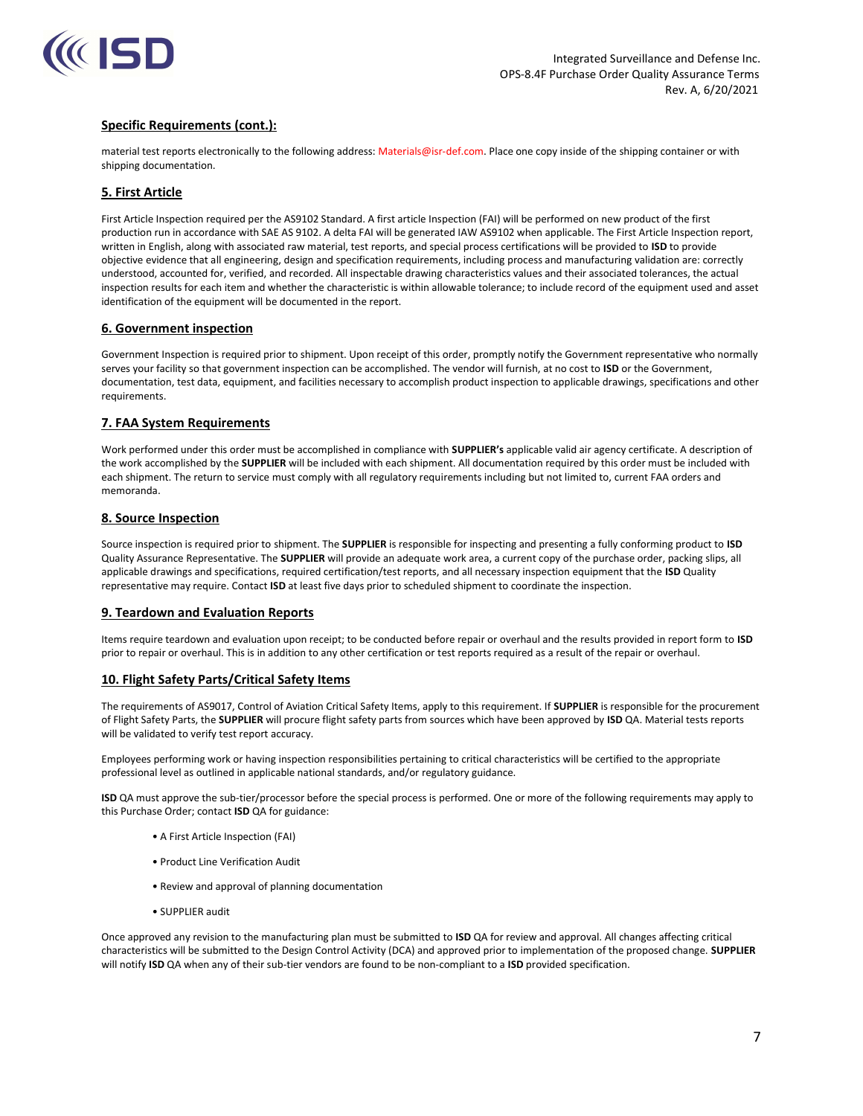

# Specific Requirements (cont.):

material test reports electronically to the following address: Materials@isr-def.com. Place one copy inside of the shipping container or with shipping documentation.

# 5. First Article

First Article Inspection required per the AS9102 Standard. A first article Inspection (FAI) will be performed on new product of the first production run in accordance with SAE AS 9102. A delta FAI will be generated IAW AS9102 when applicable. The First Article Inspection report, written in English, along with associated raw material, test reports, and special process certifications will be provided to ISD to provide objective evidence that all engineering, design and specification requirements, including process and manufacturing validation are: correctly understood, accounted for, verified, and recorded. All inspectable drawing characteristics values and their associated tolerances, the actual inspection results for each item and whether the characteristic is within allowable tolerance; to include record of the equipment used and asset identification of the equipment will be documented in the report.

### 6. Government inspection

Government Inspection is required prior to shipment. Upon receipt of this order, promptly notify the Government representative who normally serves your facility so that government inspection can be accomplished. The vendor will furnish, at no cost to ISD or the Government, documentation, test data, equipment, and facilities necessary to accomplish product inspection to applicable drawings, specifications and other requirements.

### 7. FAA System Requirements

Work performed under this order must be accomplished in compliance with SUPPLIER's applicable valid air agency certificate. A description of the work accomplished by the SUPPLIER will be included with each shipment. All documentation required by this order must be included with each shipment. The return to service must comply with all regulatory requirements including but not limited to, current FAA orders and memoranda.

# 8. Source Inspection

Source inspection is required prior to shipment. The SUPPLIER is responsible for inspecting and presenting a fully conforming product to ISD Quality Assurance Representative. The SUPPLIER will provide an adequate work area, a current copy of the purchase order, packing slips, all applicable drawings and specifications, required certification/test reports, and all necessary inspection equipment that the ISD Quality representative may require. Contact ISD at least five days prior to scheduled shipment to coordinate the inspection.

### 9. Teardown and Evaluation Reports

Items require teardown and evaluation upon receipt; to be conducted before repair or overhaul and the results provided in report form to ISD prior to repair or overhaul. This is in addition to any other certification or test reports required as a result of the repair or overhaul.

### 10. Flight Safety Parts/Critical Safety Items

The requirements of AS9017, Control of Aviation Critical Safety Items, apply to this requirement. If SUPPLIER is responsible for the procurement of Flight Safety Parts, the SUPPLIER will procure flight safety parts from sources which have been approved by ISD QA. Material tests reports will be validated to verify test report accuracy.

Employees performing work or having inspection responsibilities pertaining to critical characteristics will be certified to the appropriate professional level as outlined in applicable national standards, and/or regulatory guidance.

ISD QA must approve the sub-tier/processor before the special process is performed. One or more of the following requirements may apply to this Purchase Order; contact ISD QA for guidance:

- A First Article Inspection (FAI)
- Product Line Verification Audit
- Review and approval of planning documentation
- SUPPLIER audit

Once approved any revision to the manufacturing plan must be submitted to ISD QA for review and approval. All changes affecting critical characteristics will be submitted to the Design Control Activity (DCA) and approved prior to implementation of the proposed change. SUPPLIER will notify ISD QA when any of their sub-tier vendors are found to be non-compliant to a ISD provided specification.